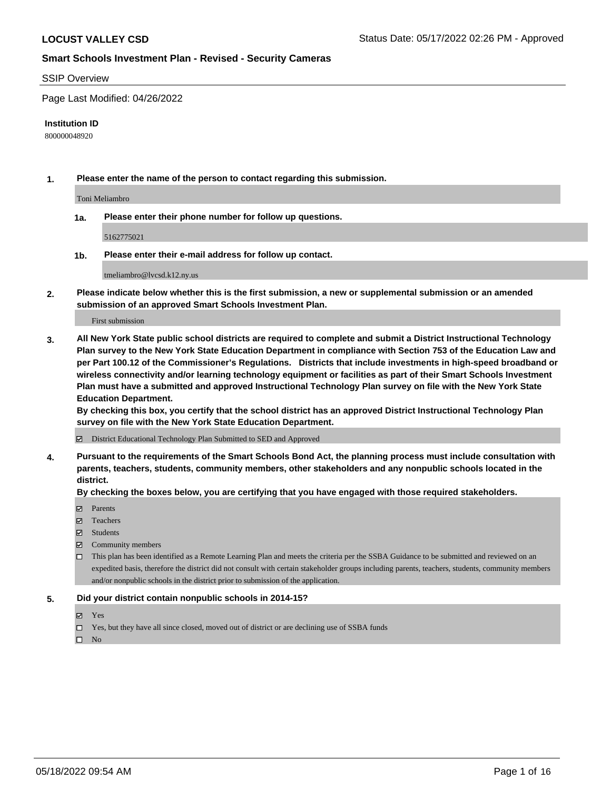#### SSIP Overview

Page Last Modified: 04/26/2022

#### **Institution ID**

800000048920

**1. Please enter the name of the person to contact regarding this submission.**

Toni Meliambro

**1a. Please enter their phone number for follow up questions.**

5162775021

**1b. Please enter their e-mail address for follow up contact.**

tmeliambro@lvcsd.k12.ny.us

**2. Please indicate below whether this is the first submission, a new or supplemental submission or an amended submission of an approved Smart Schools Investment Plan.**

First submission

**3. All New York State public school districts are required to complete and submit a District Instructional Technology Plan survey to the New York State Education Department in compliance with Section 753 of the Education Law and per Part 100.12 of the Commissioner's Regulations. Districts that include investments in high-speed broadband or wireless connectivity and/or learning technology equipment or facilities as part of their Smart Schools Investment Plan must have a submitted and approved Instructional Technology Plan survey on file with the New York State Education Department.** 

**By checking this box, you certify that the school district has an approved District Instructional Technology Plan survey on file with the New York State Education Department.**

District Educational Technology Plan Submitted to SED and Approved

**4. Pursuant to the requirements of the Smart Schools Bond Act, the planning process must include consultation with parents, teachers, students, community members, other stakeholders and any nonpublic schools located in the district.** 

**By checking the boxes below, you are certifying that you have engaged with those required stakeholders.**

- $\blacksquare$  Parents
- Teachers
- Students
- $\Xi$  Community members
- This plan has been identified as a Remote Learning Plan and meets the criteria per the SSBA Guidance to be submitted and reviewed on an expedited basis, therefore the district did not consult with certain stakeholder groups including parents, teachers, students, community members and/or nonpublic schools in the district prior to submission of the application.

#### **5. Did your district contain nonpublic schools in 2014-15?**

- Yes
- $\Box$  Yes, but they have all since closed, moved out of district or are declining use of SSBA funds

 $\square$  No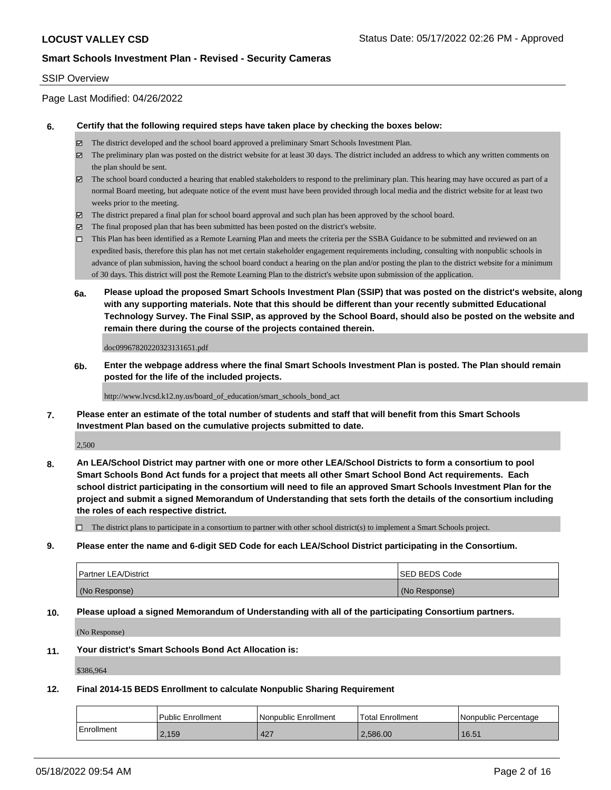### SSIP Overview

Page Last Modified: 04/26/2022

#### **6. Certify that the following required steps have taken place by checking the boxes below:**

- The district developed and the school board approved a preliminary Smart Schools Investment Plan.
- $\boxtimes$  The preliminary plan was posted on the district website for at least 30 days. The district included an address to which any written comments on the plan should be sent.
- $\boxtimes$  The school board conducted a hearing that enabled stakeholders to respond to the preliminary plan. This hearing may have occured as part of a normal Board meeting, but adequate notice of the event must have been provided through local media and the district website for at least two weeks prior to the meeting.
- The district prepared a final plan for school board approval and such plan has been approved by the school board.
- $\boxtimes$  The final proposed plan that has been submitted has been posted on the district's website.
- This Plan has been identified as a Remote Learning Plan and meets the criteria per the SSBA Guidance to be submitted and reviewed on an expedited basis, therefore this plan has not met certain stakeholder engagement requirements including, consulting with nonpublic schools in advance of plan submission, having the school board conduct a hearing on the plan and/or posting the plan to the district website for a minimum of 30 days. This district will post the Remote Learning Plan to the district's website upon submission of the application.
- **6a. Please upload the proposed Smart Schools Investment Plan (SSIP) that was posted on the district's website, along with any supporting materials. Note that this should be different than your recently submitted Educational Technology Survey. The Final SSIP, as approved by the School Board, should also be posted on the website and remain there during the course of the projects contained therein.**

doc09967820220323131651.pdf

**6b. Enter the webpage address where the final Smart Schools Investment Plan is posted. The Plan should remain posted for the life of the included projects.**

http://www.lvcsd.k12.ny.us/board\_of\_education/smart\_schools\_bond\_act

**7. Please enter an estimate of the total number of students and staff that will benefit from this Smart Schools Investment Plan based on the cumulative projects submitted to date.**

2,500

**8. An LEA/School District may partner with one or more other LEA/School Districts to form a consortium to pool Smart Schools Bond Act funds for a project that meets all other Smart School Bond Act requirements. Each school district participating in the consortium will need to file an approved Smart Schools Investment Plan for the project and submit a signed Memorandum of Understanding that sets forth the details of the consortium including the roles of each respective district.**

 $\Box$  The district plans to participate in a consortium to partner with other school district(s) to implement a Smart Schools project.

**9. Please enter the name and 6-digit SED Code for each LEA/School District participating in the Consortium.**

| <b>Partner LEA/District</b> | <b>ISED BEDS Code</b> |
|-----------------------------|-----------------------|
| (No Response)               | (No Response)         |

### **10. Please upload a signed Memorandum of Understanding with all of the participating Consortium partners.**

(No Response)

#### **11. Your district's Smart Schools Bond Act Allocation is:**

\$386,964

### **12. Final 2014-15 BEDS Enrollment to calculate Nonpublic Sharing Requirement**

|            | l Public Enrollment | Nonpublic Enrollment | Total Enrollment | l Nonpublic Percentage |
|------------|---------------------|----------------------|------------------|------------------------|
| Enrollment | 2.159               | 427                  | 2.586.00         | 16.51                  |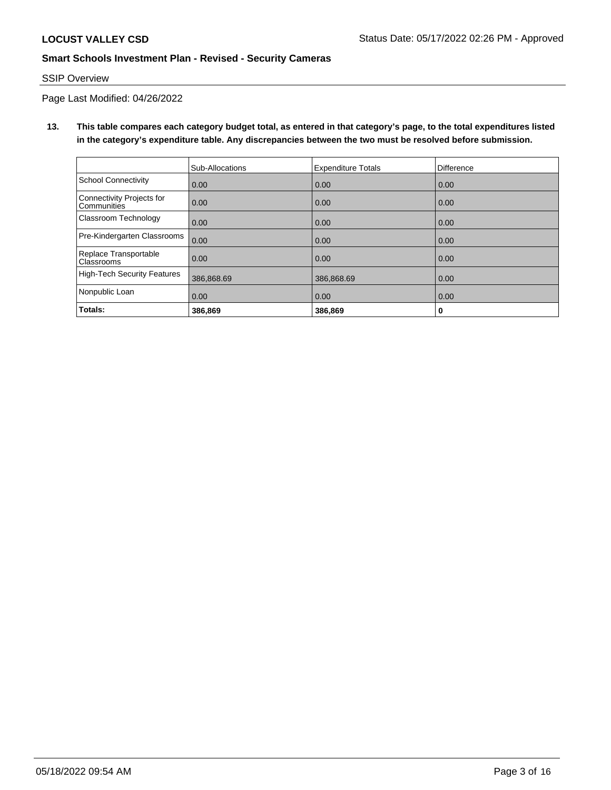# SSIP Overview

Page Last Modified: 04/26/2022

# **13. This table compares each category budget total, as entered in that category's page, to the total expenditures listed in the category's expenditure table. Any discrepancies between the two must be resolved before submission.**

|                                                 | Sub-Allocations | <b>Expenditure Totals</b> | Difference |
|-------------------------------------------------|-----------------|---------------------------|------------|
| School Connectivity                             | 0.00            | 0.00                      | 0.00       |
| Connectivity Projects for<br><b>Communities</b> | 0.00            | 0.00                      | 0.00       |
| Classroom Technology                            | 0.00            | 0.00                      | 0.00       |
| Pre-Kindergarten Classrooms                     | 0.00            | 0.00                      | 0.00       |
| Replace Transportable<br><b>Classrooms</b>      | 0.00            | 0.00                      | 0.00       |
| High-Tech Security Features                     | 386,868.69      | 386,868.69                | 0.00       |
| Nonpublic Loan                                  | 0.00            | 0.00                      | 0.00       |
| Totals:                                         | 386,869         | 386,869                   | 0          |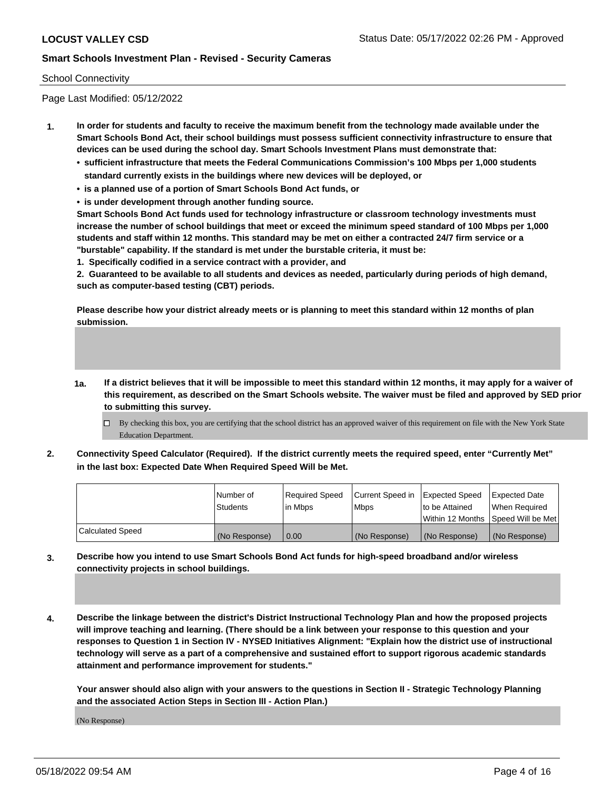### School Connectivity

Page Last Modified: 05/12/2022

- **1. In order for students and faculty to receive the maximum benefit from the technology made available under the Smart Schools Bond Act, their school buildings must possess sufficient connectivity infrastructure to ensure that devices can be used during the school day. Smart Schools Investment Plans must demonstrate that:**
	- **• sufficient infrastructure that meets the Federal Communications Commission's 100 Mbps per 1,000 students standard currently exists in the buildings where new devices will be deployed, or**
	- **• is a planned use of a portion of Smart Schools Bond Act funds, or**
	- **• is under development through another funding source.**

**Smart Schools Bond Act funds used for technology infrastructure or classroom technology investments must increase the number of school buildings that meet or exceed the minimum speed standard of 100 Mbps per 1,000 students and staff within 12 months. This standard may be met on either a contracted 24/7 firm service or a "burstable" capability. If the standard is met under the burstable criteria, it must be:**

**1. Specifically codified in a service contract with a provider, and**

**2. Guaranteed to be available to all students and devices as needed, particularly during periods of high demand, such as computer-based testing (CBT) periods.**

**Please describe how your district already meets or is planning to meet this standard within 12 months of plan submission.**

- **1a. If a district believes that it will be impossible to meet this standard within 12 months, it may apply for a waiver of this requirement, as described on the Smart Schools website. The waiver must be filed and approved by SED prior to submitting this survey.**
	- By checking this box, you are certifying that the school district has an approved waiver of this requirement on file with the New York State Education Department.
- **2. Connectivity Speed Calculator (Required). If the district currently meets the required speed, enter "Currently Met" in the last box: Expected Date When Required Speed Will be Met.**

|                         | l Number of<br><b>Students</b> | Required Speed<br>l in Mbps | Current Speed in Expected Speed<br><b>Mbps</b> | to be Attained | Expected Date<br>When Required<br>Within 12 Months 1Speed Will be Met |
|-------------------------|--------------------------------|-----------------------------|------------------------------------------------|----------------|-----------------------------------------------------------------------|
| <b>Calculated Speed</b> | (No Response)                  | $\vert 0.00 \vert$          | (No Response)                                  | (No Response)  | (No Response)                                                         |

- **3. Describe how you intend to use Smart Schools Bond Act funds for high-speed broadband and/or wireless connectivity projects in school buildings.**
- **4. Describe the linkage between the district's District Instructional Technology Plan and how the proposed projects will improve teaching and learning. (There should be a link between your response to this question and your responses to Question 1 in Section IV - NYSED Initiatives Alignment: "Explain how the district use of instructional technology will serve as a part of a comprehensive and sustained effort to support rigorous academic standards attainment and performance improvement for students."**

**Your answer should also align with your answers to the questions in Section II - Strategic Technology Planning and the associated Action Steps in Section III - Action Plan.)**

(No Response)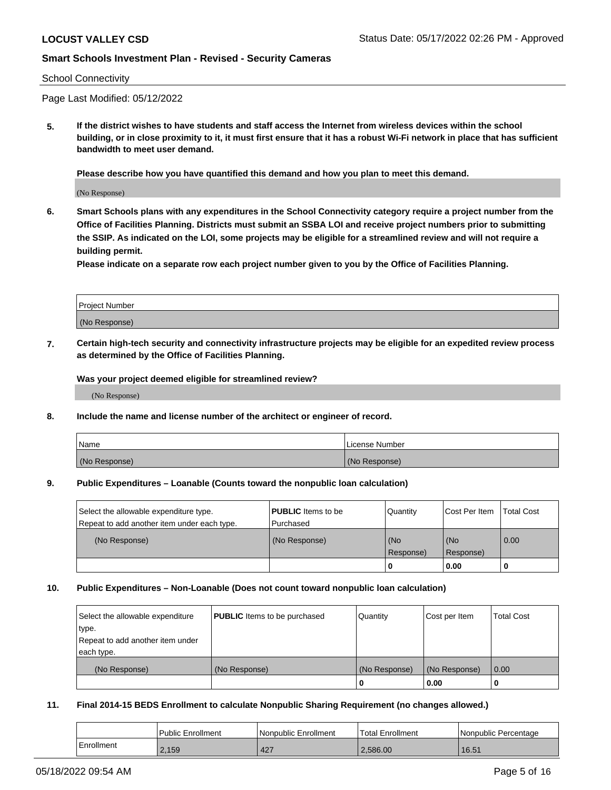#### School Connectivity

Page Last Modified: 05/12/2022

**5. If the district wishes to have students and staff access the Internet from wireless devices within the school building, or in close proximity to it, it must first ensure that it has a robust Wi-Fi network in place that has sufficient bandwidth to meet user demand.**

**Please describe how you have quantified this demand and how you plan to meet this demand.**

(No Response)

**6. Smart Schools plans with any expenditures in the School Connectivity category require a project number from the Office of Facilities Planning. Districts must submit an SSBA LOI and receive project numbers prior to submitting the SSIP. As indicated on the LOI, some projects may be eligible for a streamlined review and will not require a building permit.**

**Please indicate on a separate row each project number given to you by the Office of Facilities Planning.**

| <b>Project Number</b> |  |
|-----------------------|--|
| (No Response)         |  |

**7. Certain high-tech security and connectivity infrastructure projects may be eligible for an expedited review process as determined by the Office of Facilities Planning.**

**Was your project deemed eligible for streamlined review?**

(No Response)

#### **8. Include the name and license number of the architect or engineer of record.**

| Name          | I License Number |
|---------------|------------------|
| (No Response) | (No Response)    |

#### **9. Public Expenditures – Loanable (Counts toward the nonpublic loan calculation)**

| Select the allowable expenditure type.<br>Repeat to add another item under each type. | <b>PUBLIC</b> Items to be<br>l Purchased | Quantity         | Cost Per Item    | <b>Total Cost</b> |
|---------------------------------------------------------------------------------------|------------------------------------------|------------------|------------------|-------------------|
| (No Response)                                                                         | (No Response)                            | (No<br>Response) | (No<br>Response) | $\overline{0.00}$ |
|                                                                                       |                                          | -0               | 0.00             |                   |

### **10. Public Expenditures – Non-Loanable (Does not count toward nonpublic loan calculation)**

| Select the allowable expenditure | <b>PUBLIC</b> Items to be purchased | Quantity      | Cost per Item | <b>Total Cost</b> |
|----------------------------------|-------------------------------------|---------------|---------------|-------------------|
| type.                            |                                     |               |               |                   |
| Repeat to add another item under |                                     |               |               |                   |
| each type.                       |                                     |               |               |                   |
| (No Response)                    | (No Response)                       | (No Response) | (No Response) | 0.00              |
|                                  |                                     | -0            | 0.00          |                   |

### **11. Final 2014-15 BEDS Enrollment to calculate Nonpublic Sharing Requirement (no changes allowed.)**

|            | <b>Public Enrollment</b> | Nonpublic Enrollment | <b>Total Enrollment</b> | Nonpublic Percentage |
|------------|--------------------------|----------------------|-------------------------|----------------------|
| Enrollment | 2.159                    | 427                  | 2.586.00                | 16.51                |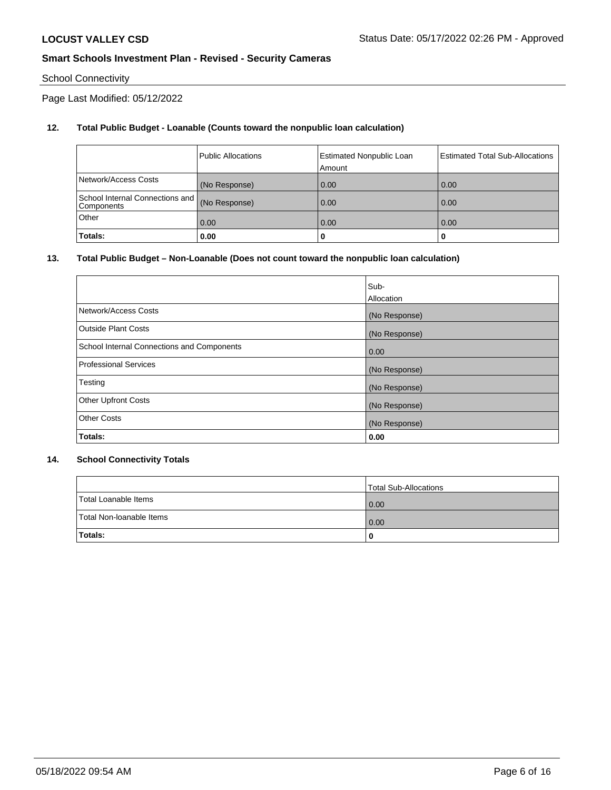# School Connectivity

Page Last Modified: 05/12/2022

## **12. Total Public Budget - Loanable (Counts toward the nonpublic loan calculation)**

|                                                  | <b>Public Allocations</b> | <b>Estimated Nonpublic Loan</b><br>Amount | <b>Estimated Total Sub-Allocations</b> |
|--------------------------------------------------|---------------------------|-------------------------------------------|----------------------------------------|
| Network/Access Costs                             | (No Response)             | 0.00                                      | 0.00                                   |
| School Internal Connections and   <br>Components | (No Response)             | 0.00                                      | 0.00                                   |
| Other                                            | 0.00                      | 0.00                                      | 0.00                                   |
| Totals:                                          | 0.00                      |                                           | 0                                      |

### **13. Total Public Budget – Non-Loanable (Does not count toward the nonpublic loan calculation)**

|                                            | Sub-          |
|--------------------------------------------|---------------|
|                                            | Allocation    |
| Network/Access Costs                       | (No Response) |
| <b>Outside Plant Costs</b>                 | (No Response) |
| School Internal Connections and Components | 0.00          |
| <b>Professional Services</b>               | (No Response) |
| Testing                                    | (No Response) |
| <b>Other Upfront Costs</b>                 | (No Response) |
| <b>Other Costs</b>                         | (No Response) |
| Totals:                                    | 0.00          |

### **14. School Connectivity Totals**

|                          | Total Sub-Allocations |
|--------------------------|-----------------------|
| Total Loanable Items     | 0.00                  |
| Total Non-Ioanable Items | 0.00                  |
| Totals:                  | 0                     |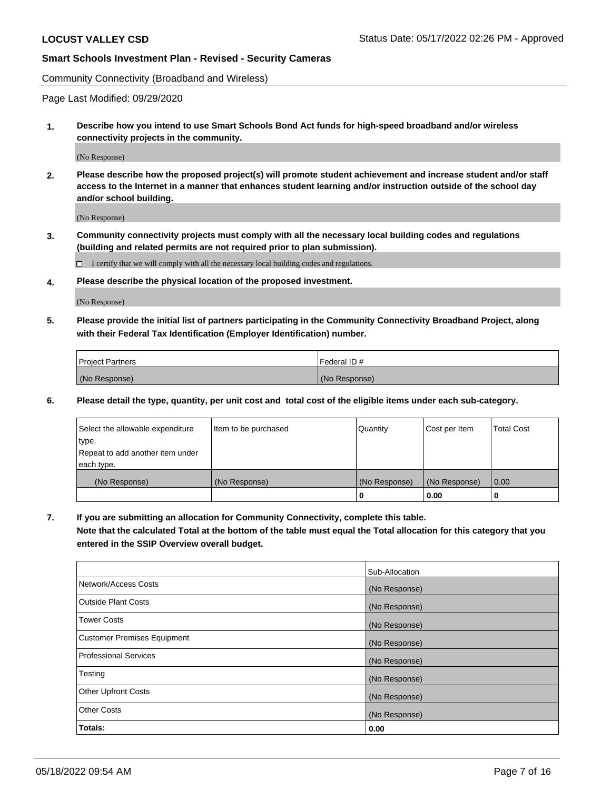Community Connectivity (Broadband and Wireless)

Page Last Modified: 09/29/2020

**1. Describe how you intend to use Smart Schools Bond Act funds for high-speed broadband and/or wireless connectivity projects in the community.**

(No Response)

**2. Please describe how the proposed project(s) will promote student achievement and increase student and/or staff access to the Internet in a manner that enhances student learning and/or instruction outside of the school day and/or school building.**

(No Response)

**3. Community connectivity projects must comply with all the necessary local building codes and regulations (building and related permits are not required prior to plan submission).**

 $\Box$  I certify that we will comply with all the necessary local building codes and regulations.

**4. Please describe the physical location of the proposed investment.**

(No Response)

**5. Please provide the initial list of partners participating in the Community Connectivity Broadband Project, along with their Federal Tax Identification (Employer Identification) number.**

| <b>Project Partners</b> | 'Federal ID # |
|-------------------------|---------------|
| (No Response)           | (No Response) |

**6. Please detail the type, quantity, per unit cost and total cost of the eligible items under each sub-category.**

| Select the allowable expenditure | Item to be purchased | Quantity      | Cost per Item | <b>Total Cost</b> |
|----------------------------------|----------------------|---------------|---------------|-------------------|
| type.                            |                      |               |               |                   |
| Repeat to add another item under |                      |               |               |                   |
| each type.                       |                      |               |               |                   |
| (No Response)                    | (No Response)        | (No Response) | (No Response) | 0.00              |
|                                  |                      | 0             | 0.00          |                   |

**7. If you are submitting an allocation for Community Connectivity, complete this table.**

**Note that the calculated Total at the bottom of the table must equal the Total allocation for this category that you entered in the SSIP Overview overall budget.**

|                                    | Sub-Allocation |
|------------------------------------|----------------|
| Network/Access Costs               | (No Response)  |
| Outside Plant Costs                | (No Response)  |
| <b>Tower Costs</b>                 | (No Response)  |
| <b>Customer Premises Equipment</b> | (No Response)  |
| Professional Services              | (No Response)  |
| Testing                            | (No Response)  |
| <b>Other Upfront Costs</b>         | (No Response)  |
| <b>Other Costs</b>                 | (No Response)  |
| Totals:                            | 0.00           |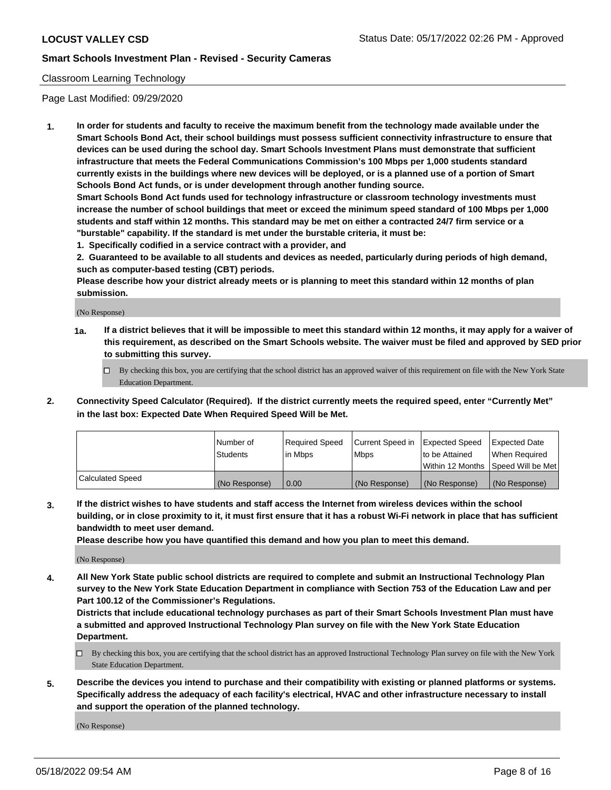### Classroom Learning Technology

Page Last Modified: 09/29/2020

**1. In order for students and faculty to receive the maximum benefit from the technology made available under the Smart Schools Bond Act, their school buildings must possess sufficient connectivity infrastructure to ensure that devices can be used during the school day. Smart Schools Investment Plans must demonstrate that sufficient infrastructure that meets the Federal Communications Commission's 100 Mbps per 1,000 students standard currently exists in the buildings where new devices will be deployed, or is a planned use of a portion of Smart Schools Bond Act funds, or is under development through another funding source.**

**Smart Schools Bond Act funds used for technology infrastructure or classroom technology investments must increase the number of school buildings that meet or exceed the minimum speed standard of 100 Mbps per 1,000 students and staff within 12 months. This standard may be met on either a contracted 24/7 firm service or a "burstable" capability. If the standard is met under the burstable criteria, it must be:**

**1. Specifically codified in a service contract with a provider, and**

**2. Guaranteed to be available to all students and devices as needed, particularly during periods of high demand, such as computer-based testing (CBT) periods.**

**Please describe how your district already meets or is planning to meet this standard within 12 months of plan submission.**

(No Response)

- **1a. If a district believes that it will be impossible to meet this standard within 12 months, it may apply for a waiver of this requirement, as described on the Smart Schools website. The waiver must be filed and approved by SED prior to submitting this survey.**
	- By checking this box, you are certifying that the school district has an approved waiver of this requirement on file with the New York State Education Department.
- **2. Connectivity Speed Calculator (Required). If the district currently meets the required speed, enter "Currently Met" in the last box: Expected Date When Required Speed Will be Met.**

|                  | Number of     | Required Speed | Current Speed in | Expected Speed | Expected Date                           |
|------------------|---------------|----------------|------------------|----------------|-----------------------------------------|
|                  | Students      | lin Mbps       | <b>Mbps</b>      | to be Attained | When Required                           |
|                  |               |                |                  |                | l Within 12 Months ISpeed Will be Met l |
| Calculated Speed | (No Response) | 0.00           | (No Response)    | (No Response)  | (No Response)                           |

**3. If the district wishes to have students and staff access the Internet from wireless devices within the school building, or in close proximity to it, it must first ensure that it has a robust Wi-Fi network in place that has sufficient bandwidth to meet user demand.**

**Please describe how you have quantified this demand and how you plan to meet this demand.**

(No Response)

**4. All New York State public school districts are required to complete and submit an Instructional Technology Plan survey to the New York State Education Department in compliance with Section 753 of the Education Law and per Part 100.12 of the Commissioner's Regulations.**

**Districts that include educational technology purchases as part of their Smart Schools Investment Plan must have a submitted and approved Instructional Technology Plan survey on file with the New York State Education Department.**

- By checking this box, you are certifying that the school district has an approved Instructional Technology Plan survey on file with the New York State Education Department.
- **5. Describe the devices you intend to purchase and their compatibility with existing or planned platforms or systems. Specifically address the adequacy of each facility's electrical, HVAC and other infrastructure necessary to install and support the operation of the planned technology.**

(No Response)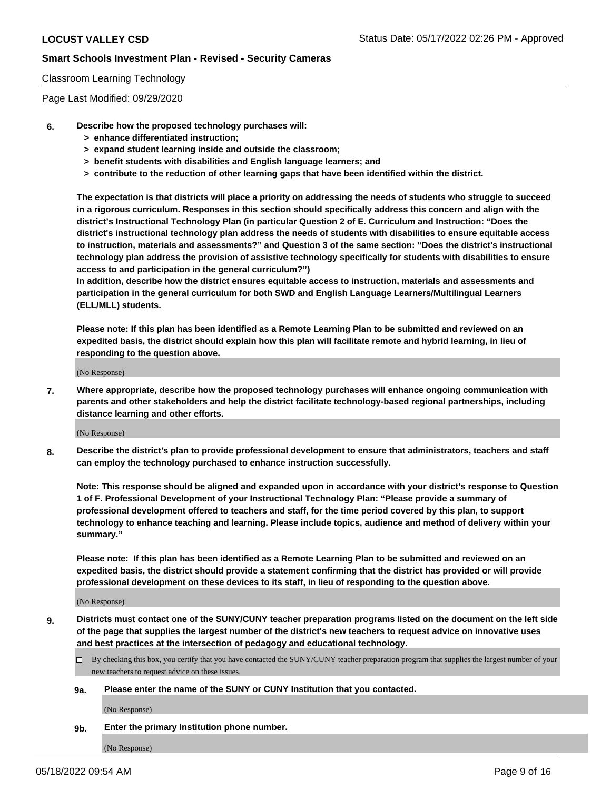### Classroom Learning Technology

Page Last Modified: 09/29/2020

- **6. Describe how the proposed technology purchases will:**
	- **> enhance differentiated instruction;**
	- **> expand student learning inside and outside the classroom;**
	- **> benefit students with disabilities and English language learners; and**
	- **> contribute to the reduction of other learning gaps that have been identified within the district.**

**The expectation is that districts will place a priority on addressing the needs of students who struggle to succeed in a rigorous curriculum. Responses in this section should specifically address this concern and align with the district's Instructional Technology Plan (in particular Question 2 of E. Curriculum and Instruction: "Does the district's instructional technology plan address the needs of students with disabilities to ensure equitable access to instruction, materials and assessments?" and Question 3 of the same section: "Does the district's instructional technology plan address the provision of assistive technology specifically for students with disabilities to ensure access to and participation in the general curriculum?")**

**In addition, describe how the district ensures equitable access to instruction, materials and assessments and participation in the general curriculum for both SWD and English Language Learners/Multilingual Learners (ELL/MLL) students.**

**Please note: If this plan has been identified as a Remote Learning Plan to be submitted and reviewed on an expedited basis, the district should explain how this plan will facilitate remote and hybrid learning, in lieu of responding to the question above.**

(No Response)

**7. Where appropriate, describe how the proposed technology purchases will enhance ongoing communication with parents and other stakeholders and help the district facilitate technology-based regional partnerships, including distance learning and other efforts.**

(No Response)

**8. Describe the district's plan to provide professional development to ensure that administrators, teachers and staff can employ the technology purchased to enhance instruction successfully.**

**Note: This response should be aligned and expanded upon in accordance with your district's response to Question 1 of F. Professional Development of your Instructional Technology Plan: "Please provide a summary of professional development offered to teachers and staff, for the time period covered by this plan, to support technology to enhance teaching and learning. Please include topics, audience and method of delivery within your summary."**

**Please note: If this plan has been identified as a Remote Learning Plan to be submitted and reviewed on an expedited basis, the district should provide a statement confirming that the district has provided or will provide professional development on these devices to its staff, in lieu of responding to the question above.**

(No Response)

**9. Districts must contact one of the SUNY/CUNY teacher preparation programs listed on the document on the left side of the page that supplies the largest number of the district's new teachers to request advice on innovative uses and best practices at the intersection of pedagogy and educational technology.**

- By checking this box, you certify that you have contacted the SUNY/CUNY teacher preparation program that supplies the largest number of your new teachers to request advice on these issues.
- **9a. Please enter the name of the SUNY or CUNY Institution that you contacted.**

(No Response)

**9b. Enter the primary Institution phone number.**

(No Response)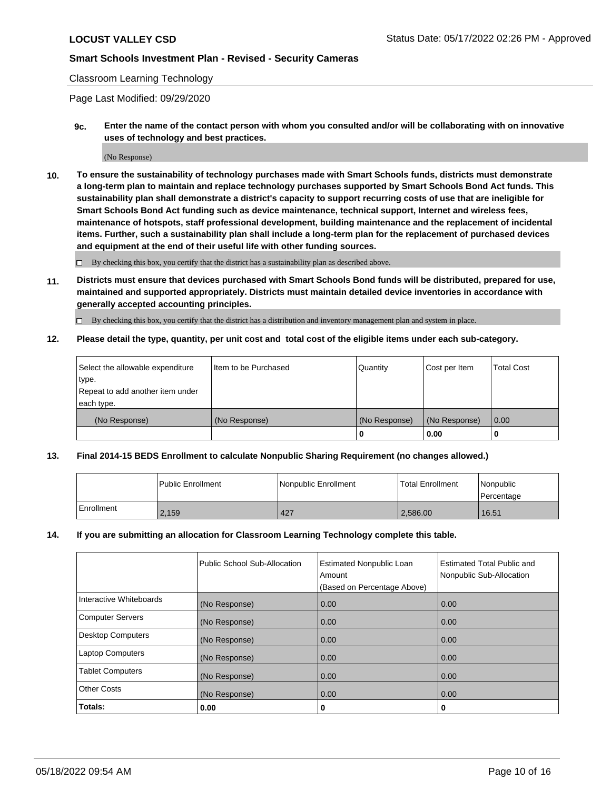### Classroom Learning Technology

Page Last Modified: 09/29/2020

**9c. Enter the name of the contact person with whom you consulted and/or will be collaborating with on innovative uses of technology and best practices.**

(No Response)

**10. To ensure the sustainability of technology purchases made with Smart Schools funds, districts must demonstrate a long-term plan to maintain and replace technology purchases supported by Smart Schools Bond Act funds. This sustainability plan shall demonstrate a district's capacity to support recurring costs of use that are ineligible for Smart Schools Bond Act funding such as device maintenance, technical support, Internet and wireless fees, maintenance of hotspots, staff professional development, building maintenance and the replacement of incidental items. Further, such a sustainability plan shall include a long-term plan for the replacement of purchased devices and equipment at the end of their useful life with other funding sources.**

 $\square$  By checking this box, you certify that the district has a sustainability plan as described above.

**11. Districts must ensure that devices purchased with Smart Schools Bond funds will be distributed, prepared for use, maintained and supported appropriately. Districts must maintain detailed device inventories in accordance with generally accepted accounting principles.**

By checking this box, you certify that the district has a distribution and inventory management plan and system in place.

**12. Please detail the type, quantity, per unit cost and total cost of the eligible items under each sub-category.**

| type.<br>Repeat to add another item under<br>each type. |               |                    |                       |      |
|---------------------------------------------------------|---------------|--------------------|-----------------------|------|
| (No Response)                                           | (No Response) | (No Response)<br>U | (No Response)<br>0.00 | 0.00 |

## **13. Final 2014-15 BEDS Enrollment to calculate Nonpublic Sharing Requirement (no changes allowed.)**

|            | Public Enrollment | Nonpublic Enrollment | <b>Total Enrollment</b> | Nonpublic<br>l Percentage |
|------------|-------------------|----------------------|-------------------------|---------------------------|
| Enrollment | 2.159             | 427                  | 2.586.00                | 16.51                     |

### **14. If you are submitting an allocation for Classroom Learning Technology complete this table.**

|                          | Public School Sub-Allocation | <b>Estimated Nonpublic Loan</b><br>Amount | Estimated Total Public and<br>Nonpublic Sub-Allocation |
|--------------------------|------------------------------|-------------------------------------------|--------------------------------------------------------|
|                          |                              | (Based on Percentage Above)               |                                                        |
| Interactive Whiteboards  | (No Response)                | 0.00                                      | 0.00                                                   |
| <b>Computer Servers</b>  | (No Response)                | 0.00                                      | 0.00                                                   |
| <b>Desktop Computers</b> | (No Response)                | 0.00                                      | 0.00                                                   |
| <b>Laptop Computers</b>  | (No Response)                | 0.00                                      | 0.00                                                   |
| <b>Tablet Computers</b>  | (No Response)                | 0.00                                      | 0.00                                                   |
| Other Costs              | (No Response)                | 0.00                                      | 0.00                                                   |
| Totals:                  | 0.00                         | 0                                         | 0                                                      |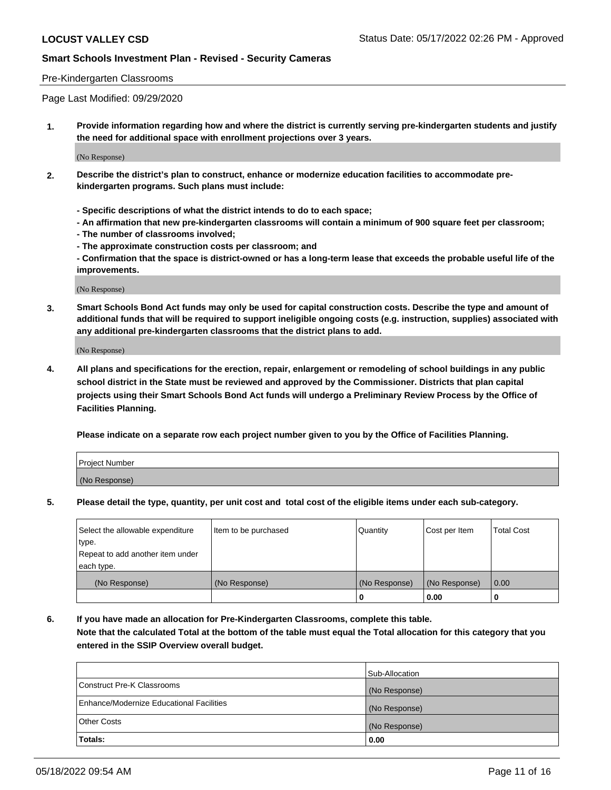### Pre-Kindergarten Classrooms

Page Last Modified: 09/29/2020

**1. Provide information regarding how and where the district is currently serving pre-kindergarten students and justify the need for additional space with enrollment projections over 3 years.**

(No Response)

- **2. Describe the district's plan to construct, enhance or modernize education facilities to accommodate prekindergarten programs. Such plans must include:**
	- **Specific descriptions of what the district intends to do to each space;**
	- **An affirmation that new pre-kindergarten classrooms will contain a minimum of 900 square feet per classroom;**
	- **The number of classrooms involved;**
	- **The approximate construction costs per classroom; and**
	- **Confirmation that the space is district-owned or has a long-term lease that exceeds the probable useful life of the improvements.**

(No Response)

**3. Smart Schools Bond Act funds may only be used for capital construction costs. Describe the type and amount of additional funds that will be required to support ineligible ongoing costs (e.g. instruction, supplies) associated with any additional pre-kindergarten classrooms that the district plans to add.**

(No Response)

**4. All plans and specifications for the erection, repair, enlargement or remodeling of school buildings in any public school district in the State must be reviewed and approved by the Commissioner. Districts that plan capital projects using their Smart Schools Bond Act funds will undergo a Preliminary Review Process by the Office of Facilities Planning.**

**Please indicate on a separate row each project number given to you by the Office of Facilities Planning.**

| Project Number |  |
|----------------|--|
| (No Response)  |  |

**5. Please detail the type, quantity, per unit cost and total cost of the eligible items under each sub-category.**

| Select the allowable expenditure          | Item to be purchased | Quantity      | Cost per Item | <b>Total Cost</b> |
|-------------------------------------------|----------------------|---------------|---------------|-------------------|
| type.<br>Repeat to add another item under |                      |               |               |                   |
| each type.                                |                      |               |               |                   |
| (No Response)                             | (No Response)        | (No Response) | (No Response) | 0.00              |
|                                           |                      | o             | 0.00          |                   |

**6. If you have made an allocation for Pre-Kindergarten Classrooms, complete this table.**

**Note that the calculated Total at the bottom of the table must equal the Total allocation for this category that you entered in the SSIP Overview overall budget.**

|                                          | Sub-Allocation |
|------------------------------------------|----------------|
| Construct Pre-K Classrooms               | (No Response)  |
| Enhance/Modernize Educational Facilities | (No Response)  |
| <b>Other Costs</b>                       | (No Response)  |
| Totals:                                  | 0.00           |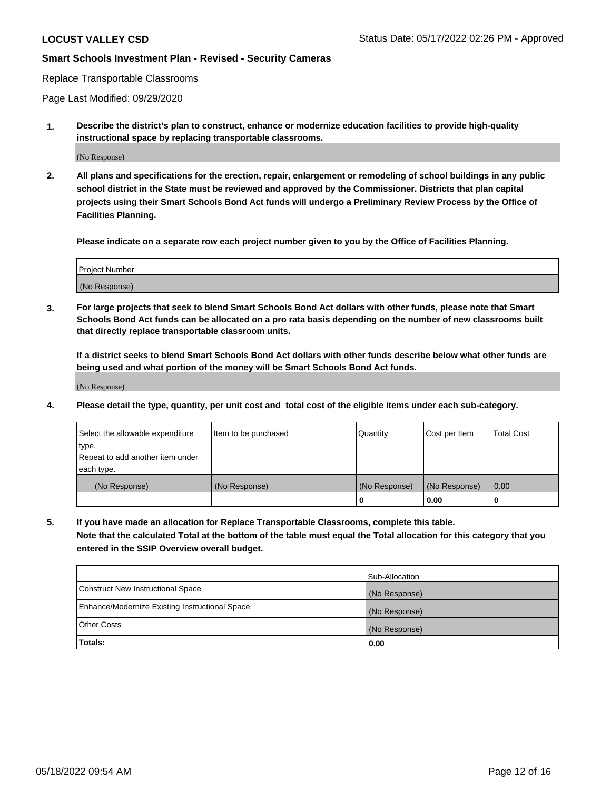#### Replace Transportable Classrooms

Page Last Modified: 09/29/2020

**1. Describe the district's plan to construct, enhance or modernize education facilities to provide high-quality instructional space by replacing transportable classrooms.**

(No Response)

**2. All plans and specifications for the erection, repair, enlargement or remodeling of school buildings in any public school district in the State must be reviewed and approved by the Commissioner. Districts that plan capital projects using their Smart Schools Bond Act funds will undergo a Preliminary Review Process by the Office of Facilities Planning.**

**Please indicate on a separate row each project number given to you by the Office of Facilities Planning.**

| <b>Project Number</b> |  |
|-----------------------|--|
| (No Response)         |  |

**3. For large projects that seek to blend Smart Schools Bond Act dollars with other funds, please note that Smart Schools Bond Act funds can be allocated on a pro rata basis depending on the number of new classrooms built that directly replace transportable classroom units.**

**If a district seeks to blend Smart Schools Bond Act dollars with other funds describe below what other funds are being used and what portion of the money will be Smart Schools Bond Act funds.**

(No Response)

**4. Please detail the type, quantity, per unit cost and total cost of the eligible items under each sub-category.**

| Select the allowable expenditure | Item to be purchased | Quantity      | Cost per Item | <b>Total Cost</b> |
|----------------------------------|----------------------|---------------|---------------|-------------------|
| type.                            |                      |               |               |                   |
| Repeat to add another item under |                      |               |               |                   |
| each type.                       |                      |               |               |                   |
| (No Response)                    | (No Response)        | (No Response) | (No Response) | 0.00              |
|                                  |                      | U             | 0.00          |                   |

**5. If you have made an allocation for Replace Transportable Classrooms, complete this table.**

**Note that the calculated Total at the bottom of the table must equal the Total allocation for this category that you entered in the SSIP Overview overall budget.**

| Enhance/Modernize Existing Instructional Space<br><b>Other Costs</b> | (No Response)         |
|----------------------------------------------------------------------|-----------------------|
| <b>Totals:</b>                                                       | (No Response)<br>0.00 |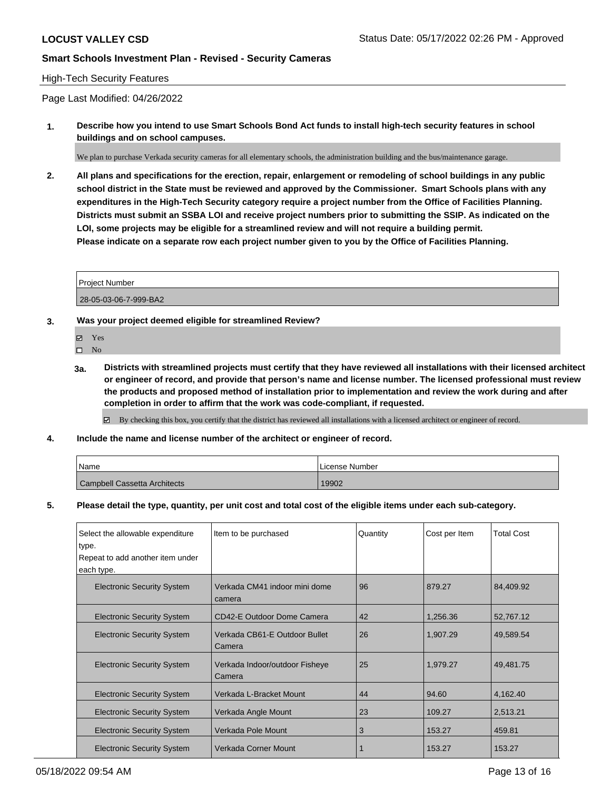### High-Tech Security Features

Page Last Modified: 04/26/2022

**1. Describe how you intend to use Smart Schools Bond Act funds to install high-tech security features in school buildings and on school campuses.**

We plan to purchase Verkada security cameras for all elementary schools, the administration building and the bus/maintenance garage.

**2. All plans and specifications for the erection, repair, enlargement or remodeling of school buildings in any public school district in the State must be reviewed and approved by the Commissioner. Smart Schools plans with any expenditures in the High-Tech Security category require a project number from the Office of Facilities Planning. Districts must submit an SSBA LOI and receive project numbers prior to submitting the SSIP. As indicated on the LOI, some projects may be eligible for a streamlined review and will not require a building permit. Please indicate on a separate row each project number given to you by the Office of Facilities Planning.**

| <b>Project Number</b> |  |
|-----------------------|--|
| 28-05-03-06-7-999-BA2 |  |

- **3. Was your project deemed eligible for streamlined Review?**
	- Yes
	- $\square$  No
	- **3a. Districts with streamlined projects must certify that they have reviewed all installations with their licensed architect or engineer of record, and provide that person's name and license number. The licensed professional must review the products and proposed method of installation prior to implementation and review the work during and after completion in order to affirm that the work was code-compliant, if requested.**

By checking this box, you certify that the district has reviewed all installations with a licensed architect or engineer of record.

**4. Include the name and license number of the architect or engineer of record.**

| Name                                | License Number |
|-------------------------------------|----------------|
| <b>Campbell Cassetta Architects</b> | 19902          |

**5. Please detail the type, quantity, per unit cost and total cost of the eligible items under each sub-category.**

| Select the allowable expenditure<br>type.<br>Repeat to add another item under | Item to be purchased                     | Quantity | Cost per Item | <b>Total Cost</b> |
|-------------------------------------------------------------------------------|------------------------------------------|----------|---------------|-------------------|
| each type.<br><b>Electronic Security System</b>                               | Verkada CM41 indoor mini dome<br>camera  | 96       | 879.27        | 84,409.92         |
| <b>Electronic Security System</b>                                             | CD42-E Outdoor Dome Camera               | 42       | 1,256.36      | 52,767.12         |
| <b>Electronic Security System</b>                                             | Verkada CB61-E Outdoor Bullet<br>Camera  | 26       | 1,907.29      | 49,589.54         |
| <b>Electronic Security System</b>                                             | Verkada Indoor/outdoor Fisheye<br>Camera | 25       | 1,979.27      | 49,481.75         |
| <b>Electronic Security System</b>                                             | Verkada L-Bracket Mount                  | 44       | 94.60         | 4,162.40          |
| <b>Electronic Security System</b>                                             | Verkada Angle Mount                      | 23       | 109.27        | 2,513.21          |
| <b>Electronic Security System</b>                                             | Verkada Pole Mount                       | 3        | 153.27        | 459.81            |
| <b>Electronic Security System</b>                                             | Verkada Corner Mount                     |          | 153.27        | 153.27            |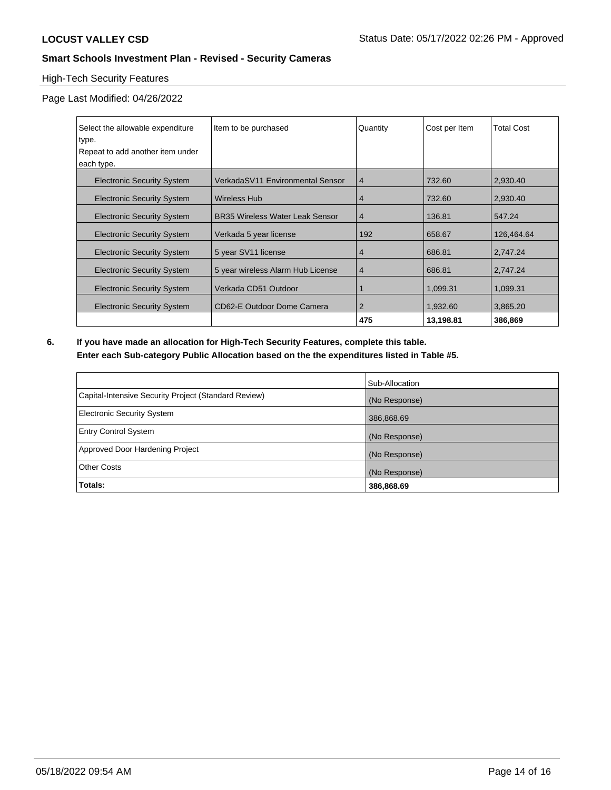# High-Tech Security Features

Page Last Modified: 04/26/2022

| Select the allowable expenditure  | Item to be purchased                   | Quantity       | Cost per Item | <b>Total Cost</b> |
|-----------------------------------|----------------------------------------|----------------|---------------|-------------------|
| type.                             |                                        |                |               |                   |
| Repeat to add another item under  |                                        |                |               |                   |
| each type.                        |                                        |                |               |                   |
| <b>Electronic Security System</b> | VerkadaSV11 Environmental Sensor       | 4              | 732.60        | 2,930.40          |
| <b>Electronic Security System</b> | Wireless Hub                           | 4              | 732.60        | 2,930.40          |
| <b>Electronic Security System</b> | <b>BR35 Wireless Water Leak Sensor</b> | $\overline{4}$ | 136.81        | 547.24            |
| <b>Electronic Security System</b> | Verkada 5 year license                 | 192            | 658.67        | 126,464.64        |
| <b>Electronic Security System</b> | 5 year SV11 license                    | 4              | 686.81        | 2,747.24          |
| <b>Electronic Security System</b> | 5 year wireless Alarm Hub License      | $\overline{4}$ | 686.81        | 2,747.24          |
| <b>Electronic Security System</b> | Verkada CD51 Outdoor                   |                | 1.099.31      | 1,099.31          |
| <b>Electronic Security System</b> | CD62-E Outdoor Dome Camera             | $\overline{2}$ | 1,932.60      | 3,865.20          |
|                                   |                                        | 475            | 13,198.81     | 386.869           |

**6. If you have made an allocation for High-Tech Security Features, complete this table. Enter each Sub-category Public Allocation based on the the expenditures listed in Table #5.**

|                                                      | Sub-Allocation |
|------------------------------------------------------|----------------|
| Capital-Intensive Security Project (Standard Review) | (No Response)  |
| <b>Electronic Security System</b>                    | 386,868.69     |
| <b>Entry Control System</b>                          | (No Response)  |
| Approved Door Hardening Project                      | (No Response)  |
| <b>Other Costs</b>                                   | (No Response)  |
| Totals:                                              | 386,868.69     |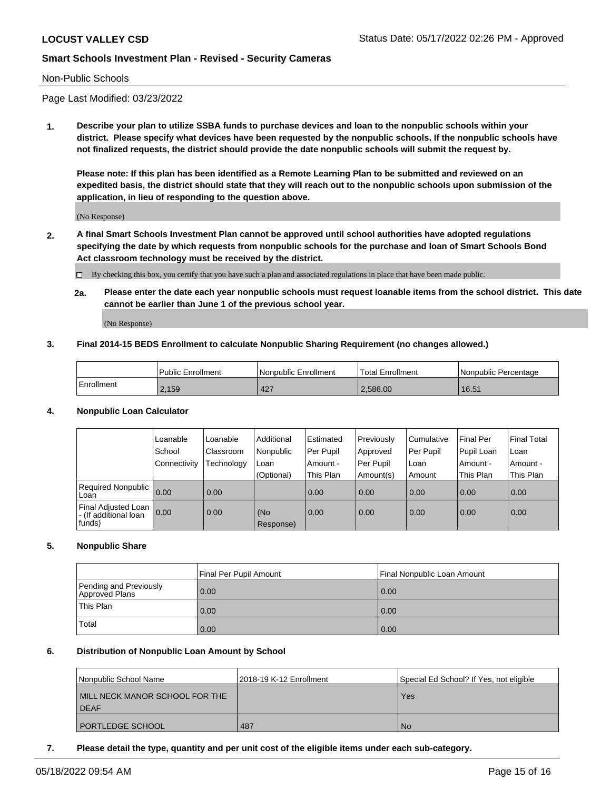### Non-Public Schools

Page Last Modified: 03/23/2022

**1. Describe your plan to utilize SSBA funds to purchase devices and loan to the nonpublic schools within your district. Please specify what devices have been requested by the nonpublic schools. If the nonpublic schools have not finalized requests, the district should provide the date nonpublic schools will submit the request by.**

**Please note: If this plan has been identified as a Remote Learning Plan to be submitted and reviewed on an expedited basis, the district should state that they will reach out to the nonpublic schools upon submission of the application, in lieu of responding to the question above.**

(No Response)

- **2. A final Smart Schools Investment Plan cannot be approved until school authorities have adopted regulations specifying the date by which requests from nonpublic schools for the purchase and loan of Smart Schools Bond Act classroom technology must be received by the district.**
	- By checking this box, you certify that you have such a plan and associated regulations in place that have been made public.
	- **2a. Please enter the date each year nonpublic schools must request loanable items from the school district. This date cannot be earlier than June 1 of the previous school year.**

(No Response)

### **3. Final 2014-15 BEDS Enrollment to calculate Nonpublic Sharing Requirement (no changes allowed.)**

|            | <b>Public Enrollment</b> | Nonpublic Enrollment | Total Enrollment | l Nonpublic Percentage |
|------------|--------------------------|----------------------|------------------|------------------------|
| Enrollment | 2,159                    | 427                  | 2.586.00         | 16.51                  |

### **4. Nonpublic Loan Calculator**

|                                                        | Loanable     | Loanable         | Additional       | Estimated | Previously  | l Cumulative | <b>Final Per</b> | <b>Final Total</b> |
|--------------------------------------------------------|--------------|------------------|------------------|-----------|-------------|--------------|------------------|--------------------|
|                                                        | School       | <b>Classroom</b> | Nonpublic        | Per Pupil | Approved    | Per Pupil    | Pupil Loan       | ∣Loan              |
|                                                        | Connectivity | Technology       | Loan             | Amount -  | l Per Pupil | l Loan       | Amount -         | Amount -           |
|                                                        |              |                  | (Optional)       | This Plan | Amount(s)   | Amount       | This Plan        | This Plan          |
| <b>Required Nonpublic</b><br>Loan                      | 0.00         | 0.00             |                  | 0.00      | 0.00        | 0.00         | 0.00             | 0.00               |
| Final Adjusted Loan<br>- (If additional loan<br>funds) | 0.00         | 0.00             | (No<br>Response) | 0.00      | 0.00        | 0.00         | 0.00             | 0.00               |

### **5. Nonpublic Share**

|                                          | Final Per Pupil Amount | Final Nonpublic Loan Amount |
|------------------------------------------|------------------------|-----------------------------|
| Pending and Previously<br>Approved Plans | 0.00                   | 0.00                        |
| This Plan                                | 0.00                   | 0.00                        |
| Total                                    | 0.00                   | 0.00                        |

### **6. Distribution of Nonpublic Loan Amount by School**

| Nonpublic School Name          | 12018-19 K-12 Enrollment | Special Ed School? If Yes, not eligible |
|--------------------------------|--------------------------|-----------------------------------------|
| MILL NECK MANOR SCHOOL FOR THE |                          | Yes                                     |
| <b>DEAF</b>                    |                          |                                         |
| <b>PORTLEDGE SCHOOL</b>        | .487                     | No.                                     |

**7. Please detail the type, quantity and per unit cost of the eligible items under each sub-category.**